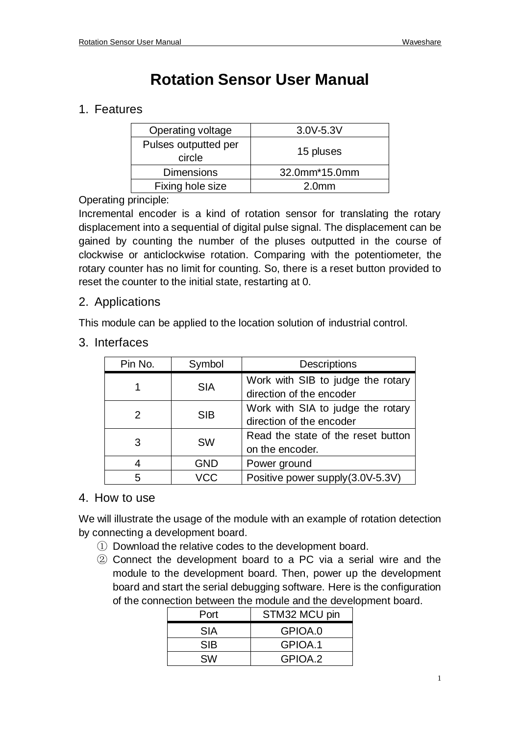# **Rotation Sensor User Manual**

## 1. Features

| Operating voltage              | $3.0V - 5.3V$     |
|--------------------------------|-------------------|
| Pulses outputted per<br>circle | 15 pluses         |
| <b>Dimensions</b>              | 32.0mm*15.0mm     |
| Fixing hole size               | 2.0 <sub>mm</sub> |

#### Operating principle:

Incremental encoder is a kind of rotation sensor for translating the rotary displacement into a sequential of digital pulse signal. The displacement can be gained by counting the number of the pluses outputted in the course of clockwise or anticlockwise rotation. Comparing with the potentiometer, the rotary counter has no limit for counting. So, there is a reset button provided to reset the counter to the initial state, restarting at 0.

#### 2. Applications

This module can be applied to the location solution of industrial control.

3. Interfaces

| Pin No. | Symbol     | <b>Descriptions</b>                                           |  |  |
|---------|------------|---------------------------------------------------------------|--|--|
|         | <b>SIA</b> | Work with SIB to judge the rotary<br>direction of the encoder |  |  |
|         | <b>SIB</b> | Work with SIA to judge the rotary<br>direction of the encoder |  |  |
| 3       | <b>SW</b>  | Read the state of the reset button<br>on the encoder.         |  |  |
| 4       | <b>GND</b> | Power ground                                                  |  |  |
| 5       | VCC        | Positive power supply (3.0V-5.3V)                             |  |  |

### 4. How to use

We will illustrate the usage of the module with an example of rotation detection by connecting a development board.

- ① Download the relative codes to the development board.
- ② Connect the development board to a PC via a serial wire and the module to the development board. Then, power up the development board and start the serial debugging software. Here is the configuration of the connection between the module and the development board.

| Port       | STM32 MCU pin |
|------------|---------------|
| <b>SIA</b> | GPIOA.0       |
| <b>SIB</b> | GPIOA.1       |
| <b>SW</b>  | GPIOA.2       |